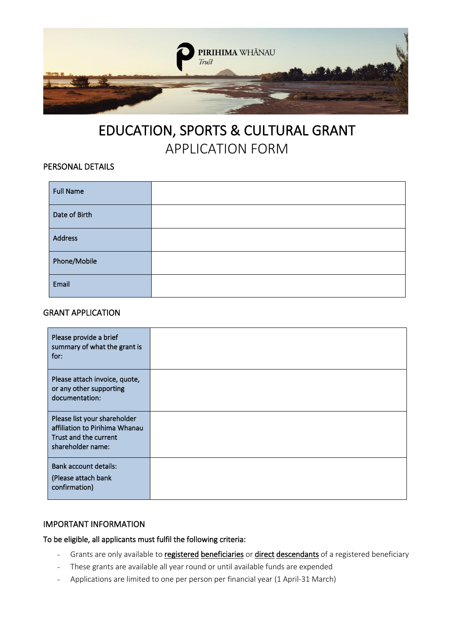

# EDUCATION, SPORTS & CULTURAL GRANT APPLICATION FORM

# PERSONAL DETAILS

| <b>Full Name</b> |  |
|------------------|--|
| Date of Birth    |  |
| Address          |  |
| Phone/Mobile     |  |
| Email            |  |

## GRANT APPLICATION

| Please provide a brief<br>summary of what the grant is<br>for:                                               |  |
|--------------------------------------------------------------------------------------------------------------|--|
| Please attach invoice, quote,<br>or any other supporting<br>documentation:                                   |  |
| Please list your shareholder<br>affiliation to Pirihima Whanau<br>Trust and the current<br>shareholder name: |  |
| <b>Bank account details:</b><br>(Please attach bank<br>confirmation)                                         |  |

## IMPORTANT INFORMATION

To be eligible, all applicants must fulfil the following criteria:

- Grants are only available to registered beneficiaries or direct descendants of a registered beneficiary
- These grants are available all year round or until available funds are expended
- Applications are limited to one per person per financial year (1 April-31 March)